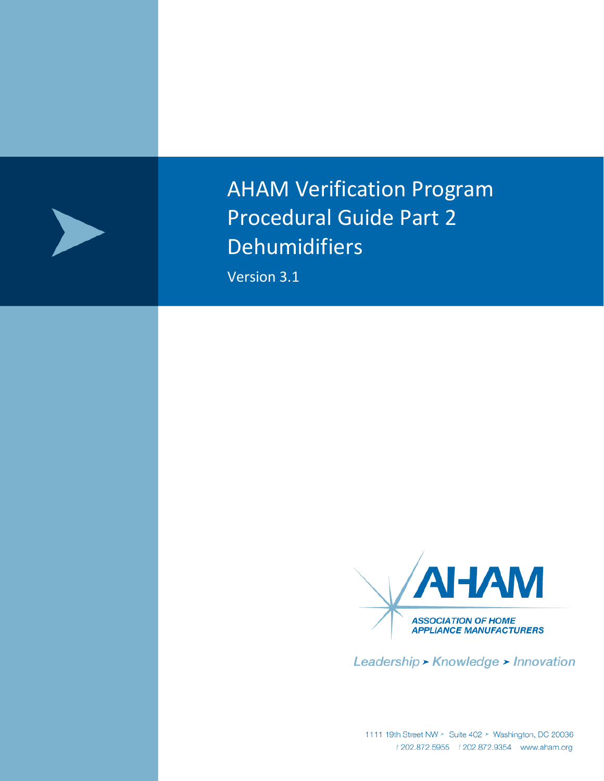

AHAM Verification Program Procedural Guide Part 2 Dehumidifiers

Version 3.1



Leadership > Knowledge > Innovation

1111 19th Street NW > Suite 402 > Washington, DC 20036<br>*t* 202.872.5955 *f* 202.872.9354 www.aham.org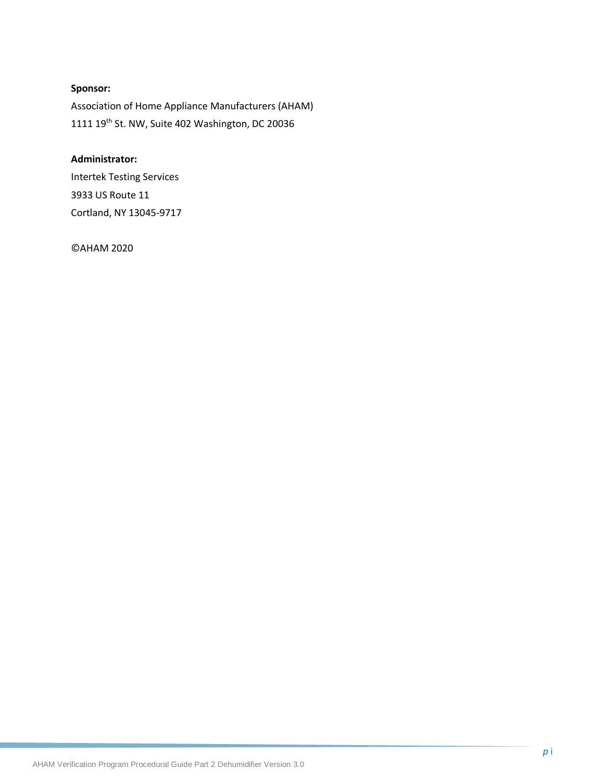## **Sponsor:**

Association of Home Appliance Manufacturers (AHAM) 1111 19th St. NW, Suite 402 Washington, DC 20036

#### **Administrator:**

Intertek Testing Services 3933 US Route 11 Cortland, NY 13045-9717

©AHAM 2020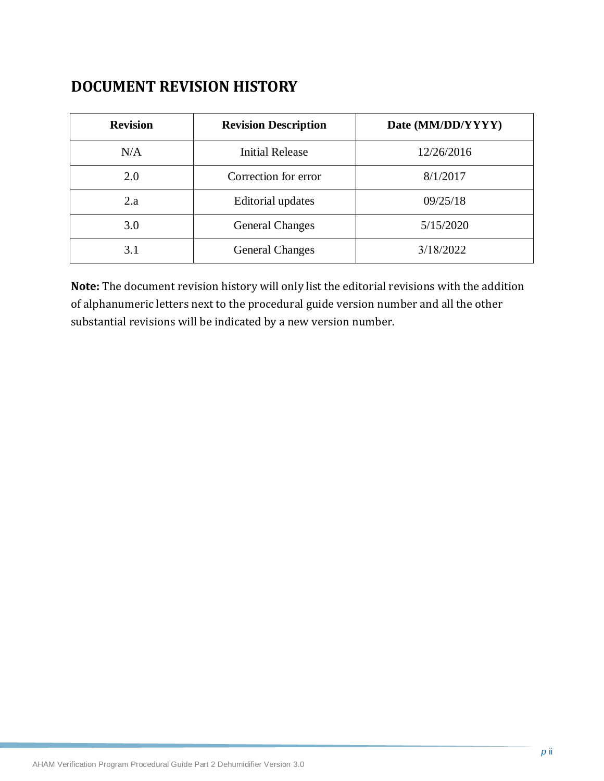# **DOCUMENT REVISION HISTORY**

| <b>Revision</b> | <b>Revision Description</b> | Date (MM/DD/YYYY) |
|-----------------|-----------------------------|-------------------|
| N/A             | <b>Initial Release</b>      | 12/26/2016        |
| 2.0             | Correction for error        | 8/1/2017          |
| 2.a             | <b>Editorial updates</b>    | 09/25/18          |
| 3.0             | <b>General Changes</b>      | 5/15/2020         |
| 3.1             | <b>General Changes</b>      | 3/18/2022         |

**Note:** The document revision history will only list the editorial revisions with the addition of alphanumeric letters next to the procedural guide version number and all the other substantial revisions will be indicated by a new version number.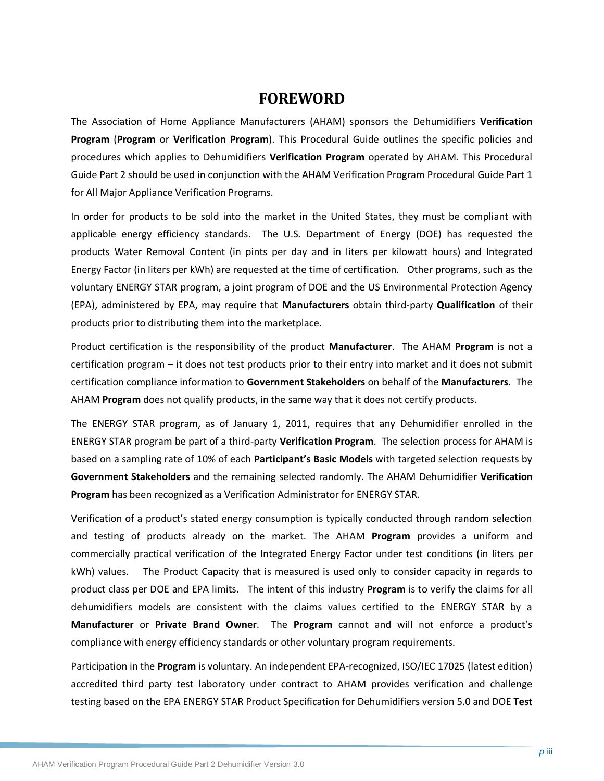# **FOREWORD**

The Association of Home Appliance Manufacturers (AHAM) sponsors the Dehumidifiers **Verification Program** (**Program** or **Verification Program**). This Procedural Guide outlines the specific policies and procedures which applies to Dehumidifiers **Verification Program** operated by AHAM. This Procedural Guide Part 2 should be used in conjunction with the AHAM Verification Program Procedural Guide Part 1 for All Major Appliance Verification Programs.

In order for products to be sold into the market in the United States, they must be compliant with applicable energy efficiency standards. The U.S. Department of Energy (DOE) has requested the products Water Removal Content (in pints per day and in liters per kilowatt hours) and Integrated Energy Factor (in liters per kWh) are requested at the time of certification. Other programs, such as the voluntary ENERGY STAR program, a joint program of DOE and the US Environmental Protection Agency (EPA), administered by EPA, may require that **Manufacturers** obtain third-party **Qualification** of their products prior to distributing them into the marketplace.

Product certification is the responsibility of the product **Manufacturer**. The AHAM **Program** is not a certification program – it does not test products prior to their entry into market and it does not submit certification compliance information to **Government Stakeholders** on behalf of the **Manufacturers**. The AHAM **Program** does not qualify products, in the same way that it does not certify products.

The ENERGY STAR program, as of January 1, 2011, requires that any Dehumidifier enrolled in the ENERGY STAR program be part of a third-party **Verification Program**. The selection process for AHAM is based on a sampling rate of 10% of each **Participant's Basic Models** with targeted selection requests by **Government Stakeholders** and the remaining selected randomly. The AHAM Dehumidifier **Verification Program** has been recognized as a Verification Administrator for ENERGY STAR.

Verification of a product's stated energy consumption is typically conducted through random selection and testing of products already on the market. The AHAM **Program** provides a uniform and commercially practical verification of the Integrated Energy Factor under test conditions (in liters per kWh) values. The Product Capacity that is measured is used only to consider capacity in regards to product class per DOE and EPA limits. The intent of this industry **Program** is to verify the claims for all dehumidifiers models are consistent with the claims values certified to the ENERGY STAR by a **Manufacturer** or **Private Brand Owner**. The **Program** cannot and will not enforce a product's compliance with energy efficiency standards or other voluntary program requirements.

Participation in the **Program** is voluntary. An independent EPA-recognized, ISO/IEC 17025 (latest edition) accredited third party test laboratory under contract to AHAM provides verification and challenge testing based on the EPA ENERGY STAR Product Specification for Dehumidifiers version 5.0 and DOE **Test**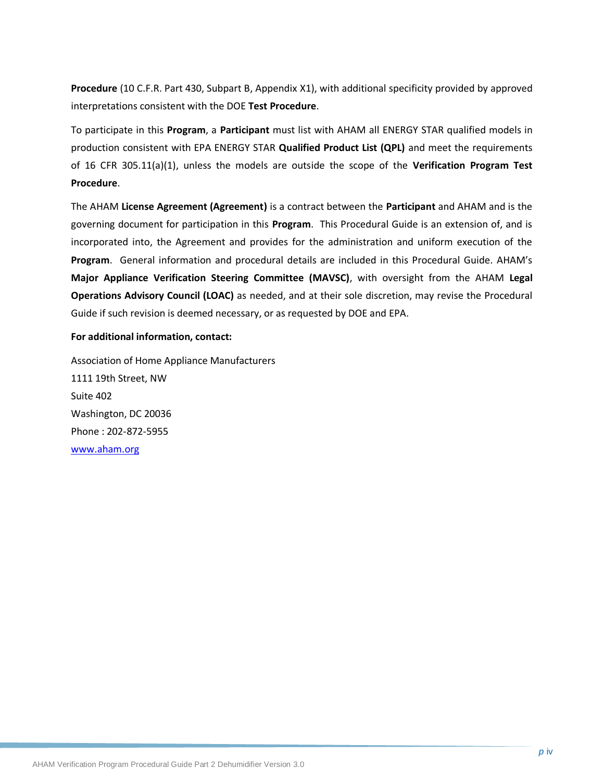**Procedure** (10 C.F.R. Part 430, Subpart B, Appendix X1), with additional specificity provided by approved interpretations consistent with the DOE **Test Procedure**.

To participate in this **Program**, a **Participant** must list with AHAM all ENERGY STAR qualified models in production consistent with EPA ENERGY STAR **Qualified Product List (QPL)** and meet the requirements of 16 CFR 305.11(a)(1), unless the models are outside the scope of the **Verification Program Test Procedure**.

The AHAM **License Agreement (Agreement)** is a contract between the **Participant** and AHAM and is the governing document for participation in this **Program**. This Procedural Guide is an extension of, and is incorporated into, the Agreement and provides for the administration and uniform execution of the **Program**. General information and procedural details are included in this Procedural Guide. AHAM's **Major Appliance Verification Steering Committee (MAVSC)**, with oversight from the AHAM **Legal Operations Advisory Council (LOAC)** as needed, and at their sole discretion, may revise the Procedural Guide if such revision is deemed necessary, or as requested by DOE and EPA.

#### **For additional information, contact:**

Association of Home Appliance Manufacturers 1111 19th Street, NW Suite 402 Washington, DC 20036 Phone : 202-872-5955 [www.aham.org](http://www.info.org/)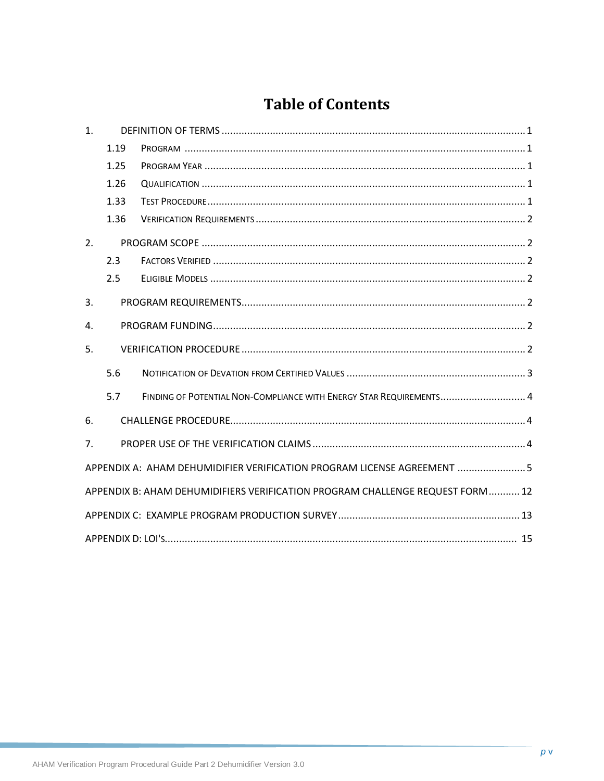# **Table of Contents**

| 1 <sub>1</sub> |      |                                                                               |
|----------------|------|-------------------------------------------------------------------------------|
|                | 1.19 |                                                                               |
|                | 1.25 |                                                                               |
|                | 1.26 |                                                                               |
|                | 1.33 |                                                                               |
|                | 1.36 |                                                                               |
| 2.             |      |                                                                               |
|                | 2.3  |                                                                               |
|                | 2.5  |                                                                               |
| 3.             |      |                                                                               |
| 4.             |      |                                                                               |
| 5.             |      |                                                                               |
|                | 5.6  |                                                                               |
|                | 5.7  | FINDING OF POTENTIAL NON-COMPLIANCE WITH ENERGY STAR REQUIREMENTS 4           |
| 6.             |      |                                                                               |
| 7 <sub>1</sub> |      |                                                                               |
|                |      | APPENDIX A: AHAM DEHUMIDIFIER VERIFICATION PROGRAM LICENSE AGREEMENT  5       |
|                |      | APPENDIX B: AHAM DEHUMIDIFIERS VERIFICATION PROGRAM CHALLENGE REQUEST FORM 12 |
|                |      |                                                                               |
|                |      |                                                                               |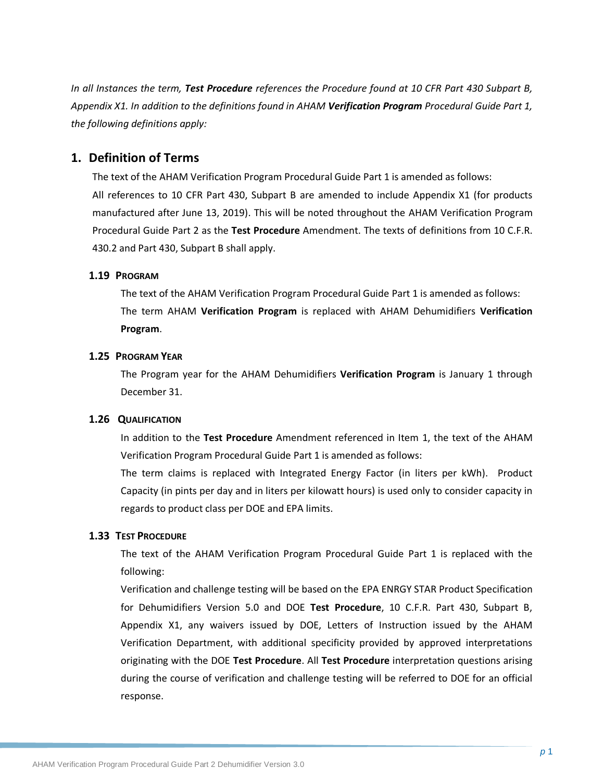*In all Instances the term, Test Procedure references the Procedure found at 10 CFR Part 430 Subpart B, Appendix X1. In addition to the definitions found in AHAM Verification Program Procedural Guide Part 1, the following definitions apply:*

### <span id="page-6-0"></span>**1. Definition of Terms**

The text of the AHAM Verification Program Procedural Guide Part 1 is amended as follows: All references to 10 CFR Part 430, Subpart B are amended to include Appendix X1 (for products manufactured after June 13, 2019). This will be noted throughout the AHAM Verification Program Procedural Guide Part 2 as the **Test Procedure** Amendment. The texts of definitions from 10 C.F.R. 430.2 and Part 430, Subpart B shall apply.

#### <span id="page-6-1"></span>**1.19 PROGRAM**

The text of the AHAM Verification Program Procedural Guide Part 1 is amended as follows: The term AHAM **Verification Program** is replaced with AHAM Dehumidifiers **Verification Program**.

#### <span id="page-6-2"></span>**1.25 PROGRAM YEAR**

<span id="page-6-3"></span>The Program year for the AHAM Dehumidifiers **Verification Program** is January 1 through December 31.

#### **1.26 QUALIFICATION**

In addition to the **Test Procedure** Amendment referenced in Item 1, the text of the AHAM Verification Program Procedural Guide Part 1 is amended as follows:

The term claims is replaced with Integrated Energy Factor (in liters per kWh). Product Capacity (in pints per day and in liters per kilowatt hours) is used only to consider capacity in regards to product class per DOE and EPA limits.

#### <span id="page-6-4"></span>**1.33 TEST PROCEDURE**

The text of the AHAM Verification Program Procedural Guide Part 1 is replaced with the following:

Verification and challenge testing will be based on the EPA ENRGY STAR Product Specification for Dehumidifiers Version 5.0 and DOE **Test Procedure**, 10 C.F.R. Part 430, Subpart B, Appendix X1, any waivers issued by DOE, Letters of Instruction issued by the AHAM Verification Department, with additional specificity provided by approved interpretations originating with the DOE **Test Procedure**. All **Test Procedure** interpretation questions arising during the course of verification and challenge testing will be referred to DOE for an official response.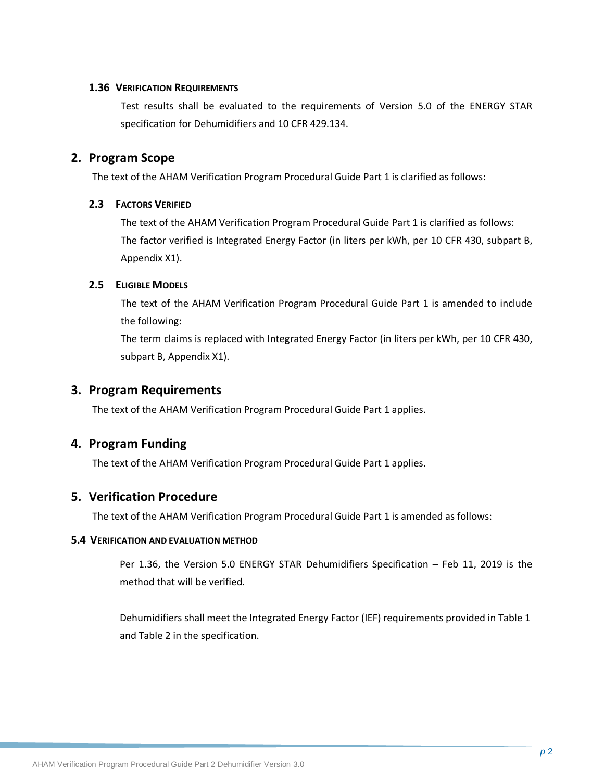#### <span id="page-7-0"></span>**1.36 VERIFICATION REQUIREMENTS**

Test results shall be evaluated to the requirements of Version 5.0 of the ENERGY STAR specification for Dehumidifiers and 10 CFR 429.134.

### <span id="page-7-1"></span>**2. Program Scope**

The text of the AHAM Verification Program Procedural Guide Part 1 is clarified as follows:

#### <span id="page-7-2"></span>**2.3 FACTORS VERIFIED**

The text of the AHAM Verification Program Procedural Guide Part 1 is clarified as follows: The factor verified is Integrated Energy Factor (in liters per kWh, per 10 CFR 430, subpart B, Appendix X1).

#### <span id="page-7-3"></span>**2.5 ELIGIBLE MODELS**

The text of the AHAM Verification Program Procedural Guide Part 1 is amended to include the following:

The term claims is replaced with Integrated Energy Factor (in liters per kWh, per 10 CFR 430, subpart B, Appendix X1).

## <span id="page-7-4"></span>**3. Program Requirements**

The text of the AHAM Verification Program Procedural Guide Part 1 applies.

# <span id="page-7-5"></span>**4. Program Funding**

The text of the AHAM Verification Program Procedural Guide Part 1 applies.

# <span id="page-7-6"></span>**5. Verification Procedure**

The text of the AHAM Verification Program Procedural Guide Part 1 is amended as follows:

#### **5.4 VERIFICATION AND EVALUATION METHOD**

Per 1.36, the Version 5.0 ENERGY STAR Dehumidifiers Specification – Feb 11, 2019 is the method that will be verified.

Dehumidifiers shall meet the Integrated Energy Factor (IEF) requirements provided in Table 1 and Table 2 in the specification.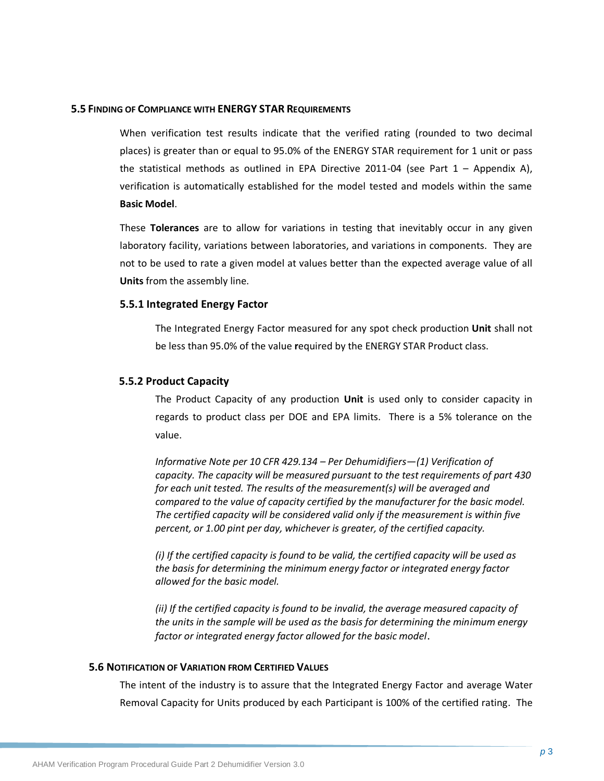#### **5.5 FINDING OF COMPLIANCE WITH ENERGY STAR REQUIREMENTS**

When verification test results indicate that the verified rating (rounded to two decimal places) is greater than or equal to 95.0% of the ENERGY STAR requirement for 1 unit or pass the statistical methods as outlined in EPA Directive 2011-04 (see Part  $1 -$  Appendix A), verification is automatically established for the model tested and models within the same **Basic Model**.

These **Tolerances** are to allow for variations in testing that inevitably occur in any given laboratory facility, variations between laboratories, and variations in components. They are not to be used to rate a given model at values better than the expected average value of all **Units** from the assembly line.

#### **5.5.1 Integrated Energy Factor**

The Integrated Energy Factor measured for any spot check production **Unit** shall not be less than 95.0% of the value **r**equired by the ENERGY STAR Product class.

#### **5.5.2 Product Capacity**

The Product Capacity of any production **Unit** is used only to consider capacity in regards to product class per DOE and EPA limits. There is a 5% tolerance on the value.

*Informative Note per 10 CFR 429.134 – Per Dehumidifiers—(1) Verification of capacity. The capacity will be measured pursuant to the test requirements of part 430 for each unit tested. The results of the measurement(s) will be averaged and compared to the value of capacity certified by the manufacturer for the basic model. The certified capacity will be considered valid only if the measurement is within five percent, or 1.00 pint per day, whichever is greater, of the certified capacity.*

*(i) If the certified capacity is found to be valid, the certified capacity will be used as the basis for determining the minimum energy factor or integrated energy factor allowed for the basic model.*

*(ii) If the certified capacity is found to be invalid, the average measured capacity of the units in the sample will be used as the basis for determining the minimum energy factor or integrated energy factor allowed for the basic model*.

#### **5.6 NOTIFICATION OF VARIATION FROM CERTIFIED VALUES**

The intent of the industry is to assure that the Integrated Energy Factor and average Water Removal Capacity for Units produced by each Participant is 100% of the certified rating. The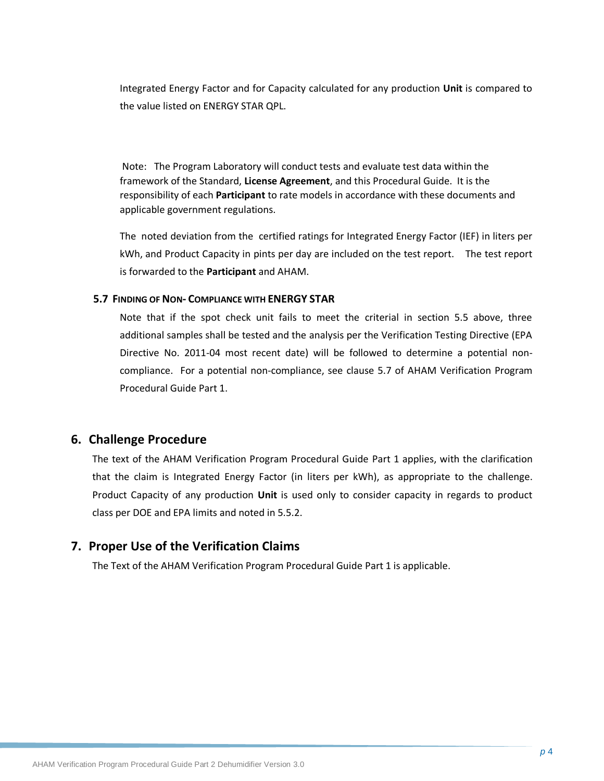Integrated Energy Factor and for Capacity calculated for any production **Unit** is compared to the value listed on ENERGY STAR QPL.

Note: The Program Laboratory will conduct tests and evaluate test data within the framework of the Standard, **License Agreement**, and this Procedural Guide. It is the responsibility of each **Participant** to rate models in accordance with these documents and applicable government regulations.

The noted deviation from the certified ratings for Integrated Energy Factor (IEF) in liters per kWh, and Product Capacity in pints per day are included on the test report. The test report is forwarded to the **Participant** and AHAM.

#### **5.7 FINDING OF NON- COMPLIANCE WITH ENERGY STAR**

Note that if the spot check unit fails to meet the criterial in section 5.5 above, three additional samples shall be tested and the analysis per the Verification Testing Directive (EPA Directive No. 2011-04 most recent date) will be followed to determine a potential noncompliance. For a potential non-compliance, see clause 5.7 of AHAM Verification Program Procedural Guide Part 1.

### <span id="page-9-0"></span>**6. Challenge Procedure**

The text of the AHAM Verification Program Procedural Guide Part 1 applies, with the clarification that the claim is Integrated Energy Factor (in liters per kWh), as appropriate to the challenge. Product Capacity of any production **Unit** is used only to consider capacity in regards to product class per DOE and EPA limits and noted in 5.5.2.

# <span id="page-9-1"></span>**7. Proper Use of the Verification Claims**

The Text of the AHAM Verification Program Procedural Guide Part 1 is applicable.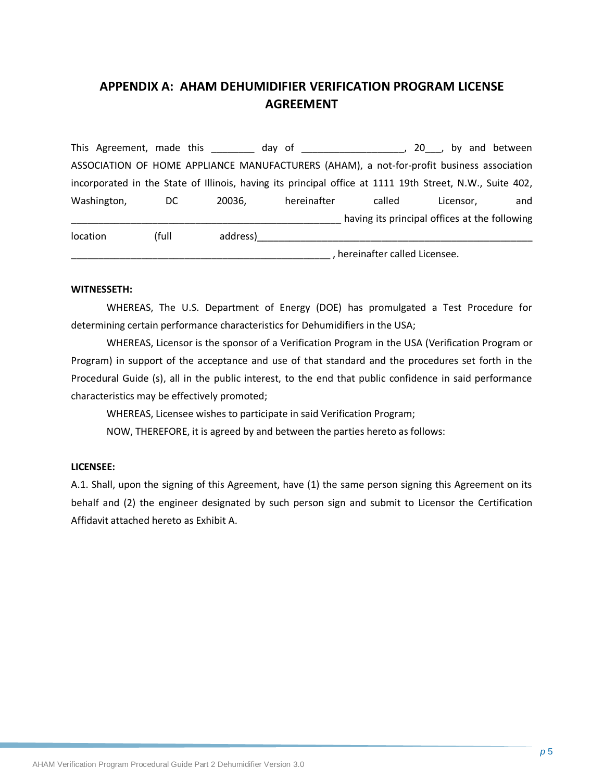# <span id="page-10-0"></span>**APPENDIX A: AHAM DEHUMIDIFIER VERIFICATION PROGRAM LICENSE AGREEMENT**

This Agreement, made this this day of this allows the set of the set of the set of the set of the set of the s ASSOCIATION OF HOME APPLIANCE MANUFACTURERS (AHAM), a not-for-profit business association incorporated in the State of Illinois, having its principal office at 1111 19th Street, N.W., Suite 402, Washington, DC 20036, hereinafter called Licensor, and having its principal offices at the following location (full address)\_\_\_\_\_\_\_\_\_\_\_\_\_\_\_\_\_\_\_\_\_\_\_\_\_\_\_\_\_\_\_\_\_\_\_\_\_\_\_\_\_\_\_\_\_\_\_\_\_\_\_

\_\_\_\_\_\_\_\_\_\_\_\_\_\_\_\_\_\_\_\_\_\_\_\_\_\_\_\_\_\_\_\_\_\_\_\_\_\_\_\_\_\_\_\_\_\_\_\_ , hereinafter called Licensee.

#### **WITNESSETH:**

WHEREAS, The U.S. Department of Energy (DOE) has promulgated a Test Procedure for determining certain performance characteristics for Dehumidifiers in the USA;

WHEREAS, Licensor is the sponsor of a Verification Program in the USA (Verification Program or Program) in support of the acceptance and use of that standard and the procedures set forth in the Procedural Guide (s), all in the public interest, to the end that public confidence in said performance characteristics may be effectively promoted;

WHEREAS, Licensee wishes to participate in said Verification Program;

NOW, THEREFORE, it is agreed by and between the parties hereto as follows:

#### **LICENSEE:**

A.1. Shall, upon the signing of this Agreement, have (1) the same person signing this Agreement on its behalf and (2) the engineer designated by such person sign and submit to Licensor the Certification Affidavit attached hereto as Exhibit A.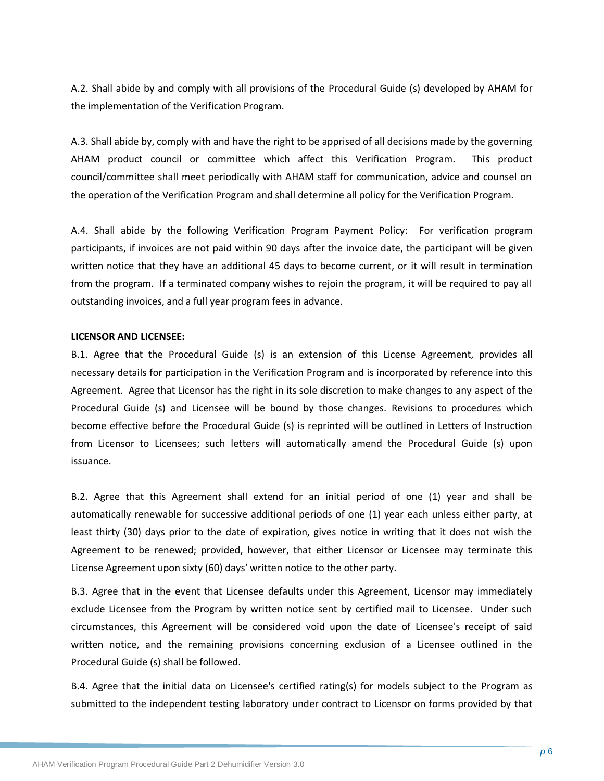A.2. Shall abide by and comply with all provisions of the Procedural Guide (s) developed by AHAM for the implementation of the Verification Program.

A.3. Shall abide by, comply with and have the right to be apprised of all decisions made by the governing AHAM product council or committee which affect this Verification Program. This product council/committee shall meet periodically with AHAM staff for communication, advice and counsel on the operation of the Verification Program and shall determine all policy for the Verification Program.

A.4. Shall abide by the following Verification Program Payment Policy: For verification program participants, if invoices are not paid within 90 days after the invoice date, the participant will be given written notice that they have an additional 45 days to become current, or it will result in termination from the program. If a terminated company wishes to rejoin the program, it will be required to pay all outstanding invoices, and a full year program fees in advance.

#### **LICENSOR AND LICENSEE:**

B.1. Agree that the Procedural Guide (s) is an extension of this License Agreement, provides all necessary details for participation in the Verification Program and is incorporated by reference into this Agreement. Agree that Licensor has the right in its sole discretion to make changes to any aspect of the Procedural Guide (s) and Licensee will be bound by those changes. Revisions to procedures which become effective before the Procedural Guide (s) is reprinted will be outlined in Letters of Instruction from Licensor to Licensees; such letters will automatically amend the Procedural Guide (s) upon issuance.

B.2. Agree that this Agreement shall extend for an initial period of one (1) year and shall be automatically renewable for successive additional periods of one (1) year each unless either party, at least thirty (30) days prior to the date of expiration, gives notice in writing that it does not wish the Agreement to be renewed; provided, however, that either Licensor or Licensee may terminate this License Agreement upon sixty (60) days' written notice to the other party.

B.3. Agree that in the event that Licensee defaults under this Agreement, Licensor may immediately exclude Licensee from the Program by written notice sent by certified mail to Licensee. Under such circumstances, this Agreement will be considered void upon the date of Licensee's receipt of said written notice, and the remaining provisions concerning exclusion of a Licensee outlined in the Procedural Guide (s) shall be followed.

B.4. Agree that the initial data on Licensee's certified rating(s) for models subject to the Program as submitted to the independent testing laboratory under contract to Licensor on forms provided by that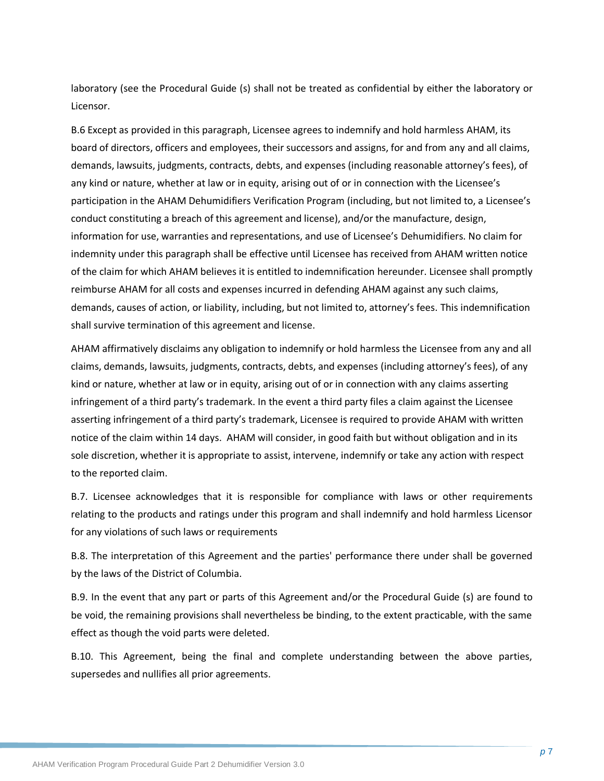laboratory (see the Procedural Guide (s) shall not be treated as confidential by either the laboratory or Licensor.

B.6 Except as provided in this paragraph, Licensee agrees to indemnify and hold harmless AHAM, its board of directors, officers and employees, their successors and assigns, for and from any and all claims, demands, lawsuits, judgments, contracts, debts, and expenses (including reasonable attorney's fees), of any kind or nature, whether at law or in equity, arising out of or in connection with the Licensee's participation in the AHAM Dehumidifiers Verification Program (including, but not limited to, a Licensee's conduct constituting a breach of this agreement and license), and/or the manufacture, design, information for use, warranties and representations, and use of Licensee's Dehumidifiers. No claim for indemnity under this paragraph shall be effective until Licensee has received from AHAM written notice of the claim for which AHAM believes it is entitled to indemnification hereunder. Licensee shall promptly reimburse AHAM for all costs and expenses incurred in defending AHAM against any such claims, demands, causes of action, or liability, including, but not limited to, attorney's fees. This indemnification shall survive termination of this agreement and license.

AHAM affirmatively disclaims any obligation to indemnify or hold harmless the Licensee from any and all claims, demands, lawsuits, judgments, contracts, debts, and expenses (including attorney's fees), of any kind or nature, whether at law or in equity, arising out of or in connection with any claims asserting infringement of a third party's trademark. In the event a third party files a claim against the Licensee asserting infringement of a third party's trademark, Licensee is required to provide AHAM with written notice of the claim within 14 days. AHAM will consider, in good faith but without obligation and in its sole discretion, whether it is appropriate to assist, intervene, indemnify or take any action with respect to the reported claim.

B.7. Licensee acknowledges that it is responsible for compliance with laws or other requirements relating to the products and ratings under this program and shall indemnify and hold harmless Licensor for any violations of such laws or requirements

B.8. The interpretation of this Agreement and the parties' performance there under shall be governed by the laws of the District of Columbia.

B.9. In the event that any part or parts of this Agreement and/or the Procedural Guide (s) are found to be void, the remaining provisions shall nevertheless be binding, to the extent practicable, with the same effect as though the void parts were deleted.

B.10. This Agreement, being the final and complete understanding between the above parties, supersedes and nullifies all prior agreements.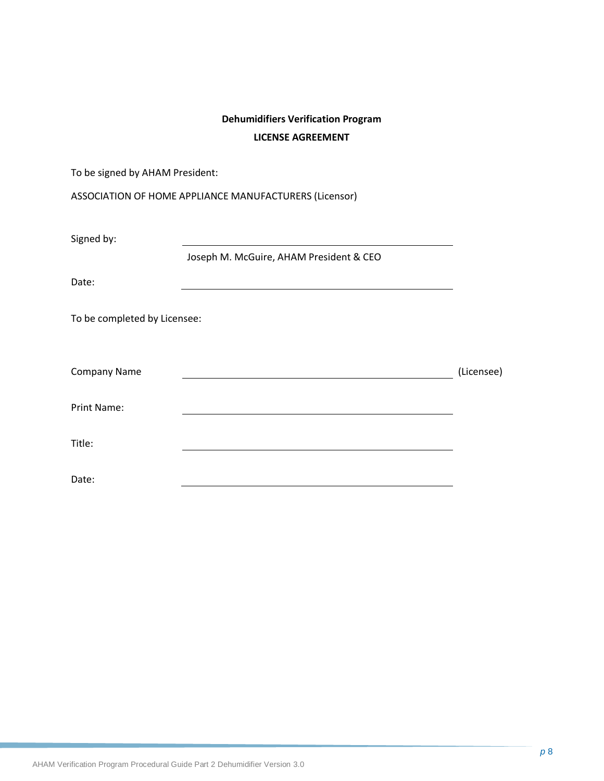# **Dehumidifiers Verification Program LICENSE AGREEMENT**

| To be signed by AHAM President: |                                                            |            |
|---------------------------------|------------------------------------------------------------|------------|
|                                 | ASSOCIATION OF HOME APPLIANCE MANUFACTURERS (Licensor)     |            |
| Signed by:                      | <u> 1989 - Johann Barn, amerikansk politiker (d. 1989)</u> |            |
| Date:                           | Joseph M. McGuire, AHAM President & CEO                    |            |
| To be completed by Licensee:    | <u> 1980 - Johann Barnett, fransk politiker (d. 1980)</u>  |            |
|                                 |                                                            |            |
| <b>Company Name</b>             |                                                            | (Licensee) |
| <b>Print Name:</b>              |                                                            |            |
| Title:                          |                                                            |            |
| Date:                           |                                                            |            |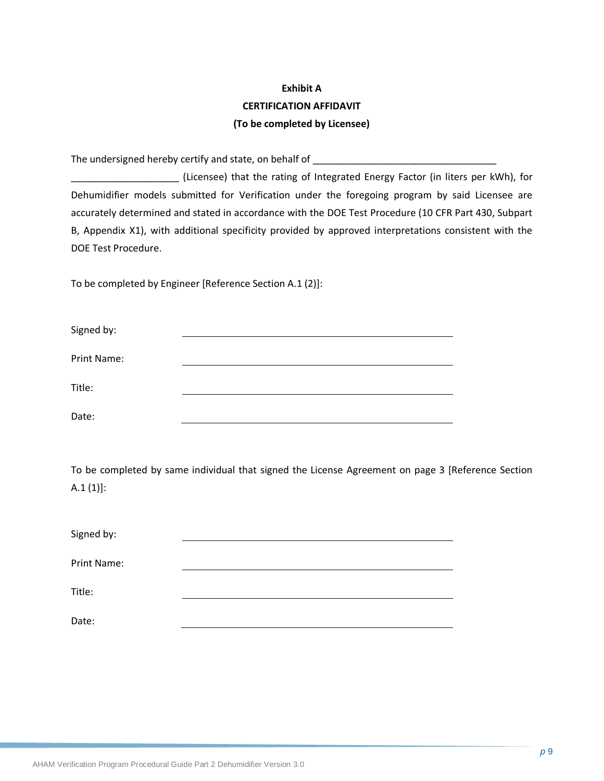# **Exhibit A CERTIFICATION AFFIDAVIT (To be completed by Licensee)**

The undersigned hereby certify and state, on behalf of

\_\_\_\_\_\_\_\_\_\_\_\_\_\_\_\_\_\_\_\_ (Licensee) that the rating of Integrated Energy Factor (in liters per kWh), for Dehumidifier models submitted for Verification under the foregoing program by said Licensee are accurately determined and stated in accordance with the DOE Test Procedure (10 CFR Part 430, Subpart B, Appendix X1), with additional specificity provided by approved interpretations consistent with the DOE Test Procedure.

To be completed by Engineer [Reference Section A.1 (2)]:

| Signed by:  |  |
|-------------|--|
| Print Name: |  |
| Title:      |  |
| Date:       |  |

To be completed by same individual that signed the License Agreement on page 3 [Reference Section  $A.1 (1)$ :

| Signed by:         |  |
|--------------------|--|
|                    |  |
| <b>Print Name:</b> |  |
| Title:             |  |
|                    |  |
| Date:              |  |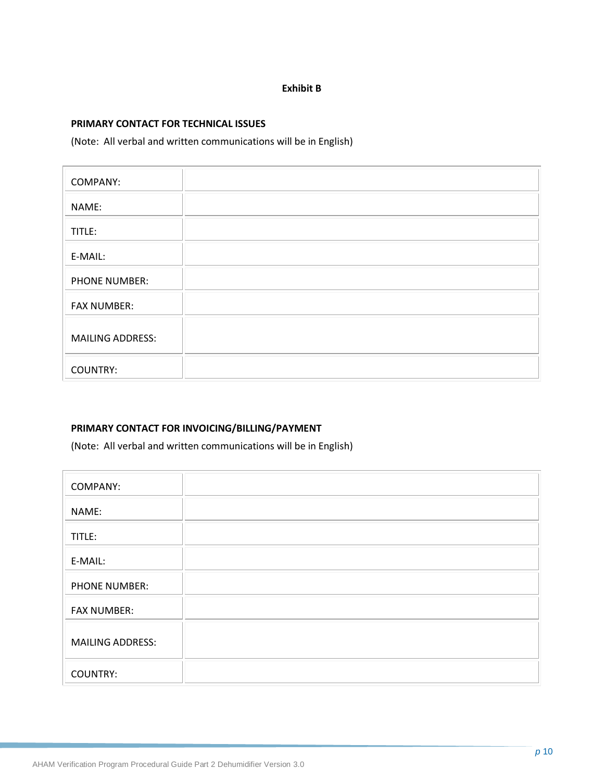#### **Exhibit B**

#### **PRIMARY CONTACT FOR TECHNICAL ISSUES**

(Note: All verbal and written communications will be in English)

| <b>COMPANY:</b>         |  |
|-------------------------|--|
| NAME:                   |  |
| TITLE:                  |  |
| E-MAIL:                 |  |
| PHONE NUMBER:           |  |
| <b>FAX NUMBER:</b>      |  |
| <b>MAILING ADDRESS:</b> |  |
| <b>COUNTRY:</b>         |  |

#### **PRIMARY CONTACT FOR INVOICING/BILLING/PAYMENT**

(Note: All verbal and written communications will be in English)

| <b>COMPANY:</b>         |  |
|-------------------------|--|
| NAME:                   |  |
| TITLE:                  |  |
| E-MAIL:                 |  |
| <b>PHONE NUMBER:</b>    |  |
| <b>FAX NUMBER:</b>      |  |
| <b>MAILING ADDRESS:</b> |  |
| <b>COUNTRY:</b>         |  |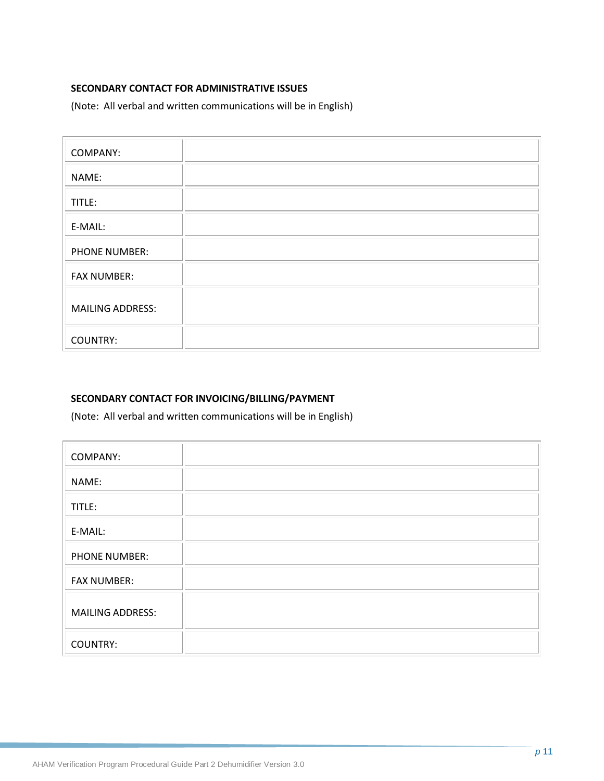### **SECONDARY CONTACT FOR ADMINISTRATIVE ISSUES**

(Note: All verbal and written communications will be in English)

| COMPANY:                |  |
|-------------------------|--|
| NAME:                   |  |
| TITLE:                  |  |
| E-MAIL:                 |  |
| PHONE NUMBER:           |  |
| <b>FAX NUMBER:</b>      |  |
| <b>MAILING ADDRESS:</b> |  |
| <b>COUNTRY:</b>         |  |

### **SECONDARY CONTACT FOR INVOICING/BILLING/PAYMENT**

(Note: All verbal and written communications will be in English)

| <b>COMPANY:</b>         |  |
|-------------------------|--|
| NAME:                   |  |
| TITLE:                  |  |
| E-MAIL:                 |  |
| <b>PHONE NUMBER:</b>    |  |
| <b>FAX NUMBER:</b>      |  |
| <b>MAILING ADDRESS:</b> |  |
| <b>COUNTRY:</b>         |  |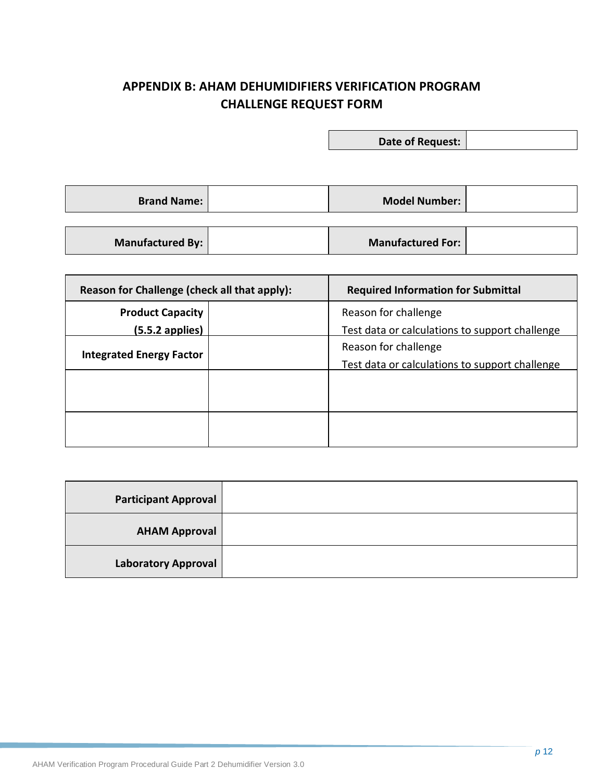# <span id="page-17-0"></span>**APPENDIX B: AHAM DEHUMIDIFIERS VERIFICATION PROGRAM CHALLENGE REQUEST FORM**

**Date of Request:**

**Brand Name: Model Number: Model Number:** 

**Manufactured By: Manufactured For:** 

| Reason for Challenge (check all that apply): | <b>Required Information for Submittal</b>      |
|----------------------------------------------|------------------------------------------------|
| <b>Product Capacity</b>                      | Reason for challenge                           |
| $(5.5.2$ applies)                            | Test data or calculations to support challenge |
| <b>Integrated Energy Factor</b>              | Reason for challenge                           |
|                                              | Test data or calculations to support challenge |
|                                              |                                                |
|                                              |                                                |
|                                              |                                                |
|                                              |                                                |
|                                              |                                                |

| <b>Participant Approval</b> |  |
|-----------------------------|--|
| <b>AHAM Approval</b>        |  |
| <b>Laboratory Approval</b>  |  |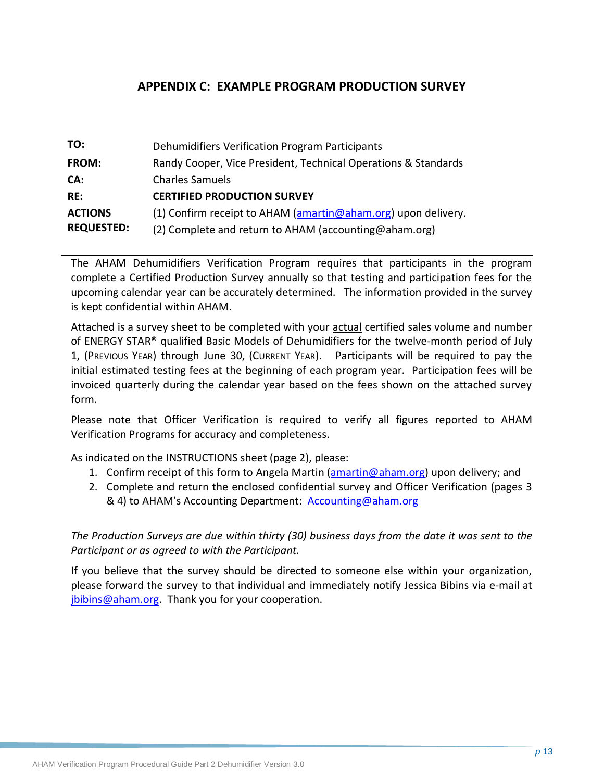# **APPENDIX C: EXAMPLE PROGRAM PRODUCTION SURVEY**

<span id="page-18-0"></span>

| TO:               | Dehumidifiers Verification Program Participants                |
|-------------------|----------------------------------------------------------------|
| <b>FROM:</b>      | Randy Cooper, Vice President, Technical Operations & Standards |
| CA:               | <b>Charles Samuels</b>                                         |
| RE:               | <b>CERTIFIED PRODUCTION SURVEY</b>                             |
| <b>ACTIONS</b>    | (1) Confirm receipt to AHAM (amartin@aham.org) upon delivery.  |
| <b>REQUESTED:</b> | (2) Complete and return to AHAM (accounting@aham.org)          |

The AHAM Dehumidifiers Verification Program requires that participants in the program complete a Certified Production Survey annually so that testing and participation fees for the upcoming calendar year can be accurately determined. The information provided in the survey is kept confidential within AHAM.

Attached is a survey sheet to be completed with your actual certified sales volume and number of ENERGY STAR® qualified Basic Models of Dehumidifiers for the twelve-month period of July 1, (PREVIOUS YEAR) through June 30, (CURRENT YEAR). Participants will be required to pay the initial estimated testing fees at the beginning of each program year. Participation fees will be invoiced quarterly during the calendar year based on the fees shown on the attached survey form.

Please note that Officer Verification is required to verify all figures reported to AHAM Verification Programs for accuracy and completeness.

As indicated on the INSTRUCTIONS sheet (page 2), please:

- 1. Confirm receipt of this form to Angela Martin [\(amartin@aham.org\)](mailto:amartin@aham.org) upon delivery; and
- 2. Complete and return the enclosed confidential survey and Officer Verification (pages 3 & 4) to AHAM's Accounting Department: [Accounting@aham.org](mailto:Accounting@aham.org)

*The Production Surveys are due within thirty (30) business days from the date it was sent to the Participant or as agreed to with the Participant.*

If you believe that the survey should be directed to someone else within your organization, please forward the survey to that individual and immediately notify Jessica Bibins via e-mail at [jbibins@aham.org.](mailto:jbibins@aham.org) Thank you for your cooperation.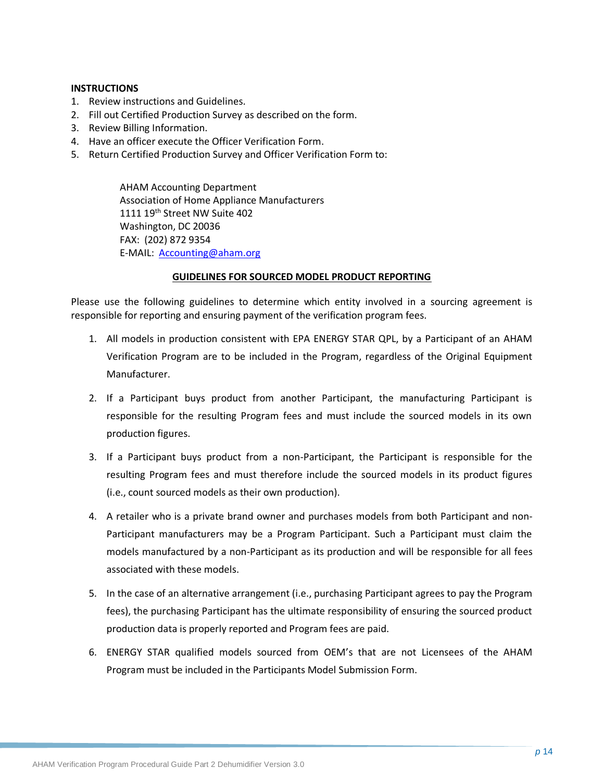#### **INSTRUCTIONS**

- 1. Review instructions and Guidelines.
- 2. Fill out Certified Production Survey as described on the form.
- 3. Review Billing Information.
- 4. Have an officer execute the Officer Verification Form.
- 5. Return Certified Production Survey and Officer Verification Form to:

AHAM Accounting Department Association of Home Appliance Manufacturers 1111 19<sup>th</sup> Street NW Suite 402 Washington, DC 20036 FAX: (202) 872 9354 E-MAIL: [Accounting@aham.org](mailto:Accounting@aham.org)

#### **GUIDELINES FOR SOURCED MODEL PRODUCT REPORTING**

Please use the following guidelines to determine which entity involved in a sourcing agreement is responsible for reporting and ensuring payment of the verification program fees.

- 1. All models in production consistent with EPA ENERGY STAR QPL, by a Participant of an AHAM Verification Program are to be included in the Program, regardless of the Original Equipment Manufacturer.
- 2. If a Participant buys product from another Participant, the manufacturing Participant is responsible for the resulting Program fees and must include the sourced models in its own production figures.
- 3. If a Participant buys product from a non-Participant, the Participant is responsible for the resulting Program fees and must therefore include the sourced models in its product figures (i.e., count sourced models as their own production).
- 4. A retailer who is a private brand owner and purchases models from both Participant and non-Participant manufacturers may be a Program Participant. Such a Participant must claim the models manufactured by a non-Participant as its production and will be responsible for all fees associated with these models.
- 5. In the case of an alternative arrangement (i.e., purchasing Participant agrees to pay the Program fees), the purchasing Participant has the ultimate responsibility of ensuring the sourced product production data is properly reported and Program fees are paid.
- 6. ENERGY STAR qualified models sourced from OEM's that are not Licensees of the AHAM Program must be included in the Participants Model Submission Form.